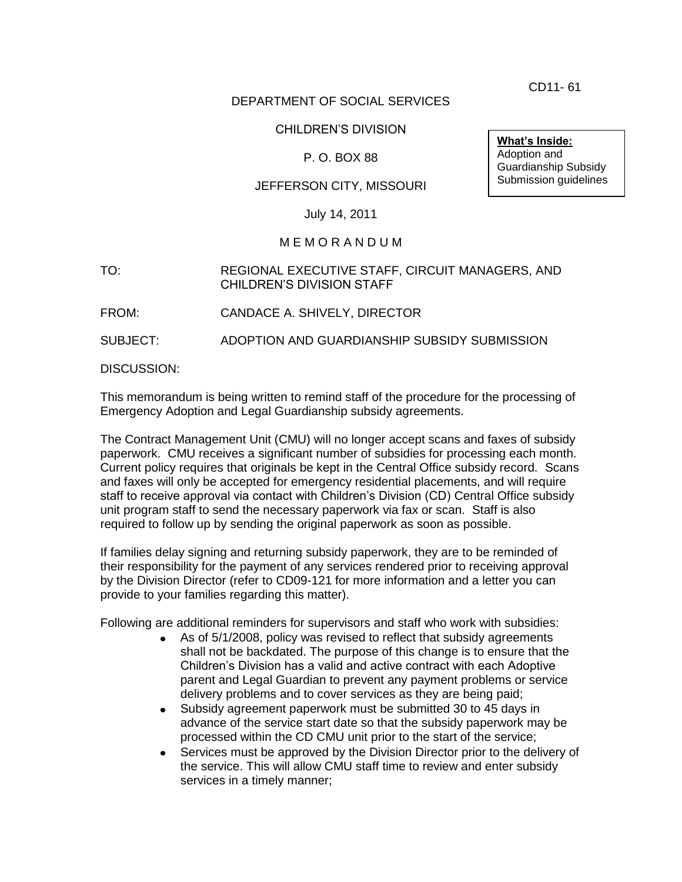CD11- 61

## DEPARTMENT OF SOCIAL SERVICES

## CHILDREN'S DIVISION

## P. O. BOX 88

## JEFFERSON CITY, MISSOURI

#### July 14, 2011

#### M E M O R A N D U M

#### TO: REGIONAL EXECUTIVE STAFF, CIRCUIT MANAGERS, AND CHILDREN'S DIVISION STAFF

FROM: CANDACE A. SHIVELY, DIRECTOR

SUBJECT: ADOPTION AND GUARDIANSHIP SUBSIDY SUBMISSION

DISCUSSION:

This memorandum is being written to remind staff of the procedure for the processing of Emergency Adoption and Legal Guardianship subsidy agreements.

The Contract Management Unit (CMU) will no longer accept scans and faxes of subsidy paperwork. CMU receives a significant number of subsidies for processing each month. Current policy requires that originals be kept in the Central Office subsidy record. Scans and faxes will only be accepted for emergency residential placements, and will require staff to receive approval via contact with Children's Division (CD) Central Office subsidy unit program staff to send the necessary paperwork via fax or scan. Staff is also required to follow up by sending the original paperwork as soon as possible.

If families delay signing and returning subsidy paperwork, they are to be reminded of their responsibility for the payment of any services rendered prior to receiving approval by the Division Director (refer to CD09-121 for more information and a letter you can provide to your families regarding this matter).

Following are additional reminders for supervisors and staff who work with subsidies:

- As of 5/1/2008, policy was revised to reflect that subsidy agreements  $\bullet$ shall not be backdated. The purpose of this change is to ensure that the Children's Division has a valid and active contract with each Adoptive parent and Legal Guardian to prevent any payment problems or service delivery problems and to cover services as they are being paid;
- $\bullet$ Subsidy agreement paperwork must be submitted 30 to 45 days in advance of the service start date so that the subsidy paperwork may be processed within the CD CMU unit prior to the start of the service;
- Services must be approved by the Division Director prior to the delivery of the service. This will allow CMU staff time to review and enter subsidy services in a timely manner;

**What's Inside:** Adoption and Guardianship Subsidy Submission guidelines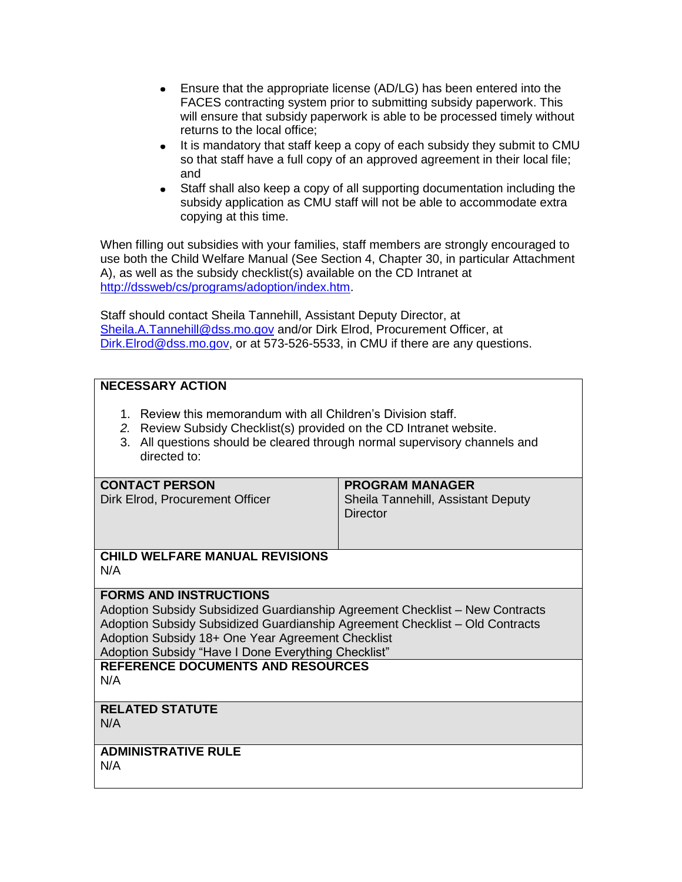- $\bullet$ Ensure that the appropriate license (AD/LG) has been entered into the FACES contracting system prior to submitting subsidy paperwork. This will ensure that subsidy paperwork is able to be processed timely without returns to the local office;
- It is mandatory that staff keep a copy of each subsidy they submit to CMU  $\bullet$ so that staff have a full copy of an approved agreement in their local file; and
- $\bullet$ Staff shall also keep a copy of all supporting documentation including the subsidy application as CMU staff will not be able to accommodate extra copying at this time.

When filling out subsidies with your families, staff members are strongly encouraged to use both the Child Welfare Manual (See Section 4, Chapter 30, in particular Attachment A), as well as the subsidy checklist(s) available on the CD Intranet at [http://dssweb/cs/programs/adoption/index.htm.](http://dssweb/cs/programs/adoption/index.htm)

Staff should contact Sheila Tannehill, Assistant Deputy Director, at [Sheila.A.Tannehill@dss.mo.gov](mailto:Sheila.A.Tannehill@dss.mo.gov) and/or Dirk Elrod, Procurement Officer. at [Dirk.Elrod@dss.mo.gov,](mailto:Dirk.Elrod@dss.mo.gov) or at 573-526-5533, in CMU if there are any questions.

## **NECESSARY ACTION**

- 1. Review this memorandum with all Children's Division staff.
- *2.* Review Subsidy Checklist(s) provided on the CD Intranet website.
- 3. All questions should be cleared through normal supervisory channels and directed to:

## **CONTACT PERSON**

# **PROGRAM MANAGER**

Sheila Tannehill, Assistant Deputy **Director** 

## **CHILD WELFARE MANUAL REVISIONS** N/A

## **FORMS AND INSTRUCTIONS**

Dirk Elrod, Procurement Officer

Adoption Subsidy Subsidized Guardianship Agreement Checklist – New Contracts Adoption Subsidy Subsidized Guardianship Agreement Checklist – Old Contracts Adoption Subsidy 18+ One Year Agreement Checklist

Adoption Subsidy "Have I Done Everything Checklist"

#### **REFERENCE DOCUMENTS AND RESOURCES** N/A

## **RELATED STATUTE**

N/A

## **ADMINISTRATIVE RULE**

N/A